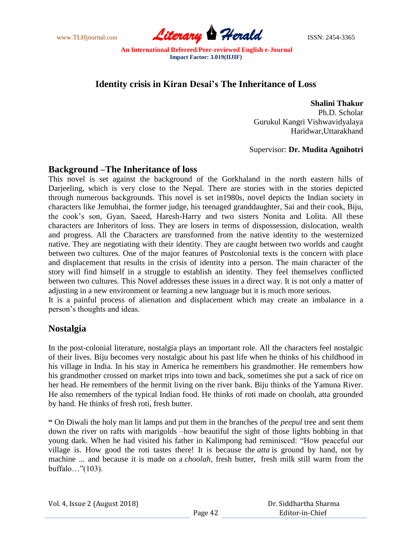

# **Identity crisis in Kiran Desai's The Inheritance of Loss**

**Shalini Thakur** Ph.D. Scholar Gurukul Kangri Vishwavidyalaya Haridwar,Uttarakhand

#### Supervisor: **Dr. Mudita Agnihotri**

#### **Background –The Inheritance of loss**

This novel is set against the background of the Gorkhaland in the north eastern hills of Darjeeling, which is very close to the Nepal. There are stories with in the stories depicted through numerous backgrounds. This novel is set in1980s, novel depicts the Indian society in characters like Jemubhai, the former judge, his teenaged granddaughter, Sai and their cook, Biju, the cook's son, Gyan, Saeed, Haresh-Harry and two sisters Nonita and Lolita. All these characters are Inheritors of loss. They are losers in terms of dispossession, dislocation, wealth and progress. All the Characters are transformed from the native identity to the westernized native. They are negotiating with their identity. They are caught between two worlds and caught between two cultures. One of the major features of Postcolonial texts is the concern with place and displacement that results in the crisis of identity into a person. The main character of the story will find himself in a struggle to establish an identity. They feel themselves conflicted between two cultures. This Novel addresses these issues in a direct way. It is not only a matter of adjusting in a new environment or learning a new language but it is much more serious.

It is a painful process of alienation and displacement which may create an imbalance in a person's thoughts and ideas.

### **Nostalgia**

In the post-colonial literature, nostalgia plays an important role. All the characters feel nostalgic of their lives. Biju becomes very nostalgic about his past life when he thinks of his childhood in his village in India. In his stay in America he remembers his grandmother. He remembers how his grandmother crossed on market trips into town and back, sometimes she put a sack of rice on her head. He remembers of the hermit living on the river bank. Biju thinks of the Yamuna River. He also remembers of the typical Indian food. He thinks of roti made on choolah, atta grounded by hand. He thinks of fresh roti, fresh butter.

**"** On Diwali the holy man lit lamps and put them in the branches of the *peepul* tree and sent them down the river on rafts with marigolds –how beautiful the sight of those lights bobbing in that young dark. When he had visited his father in Kalimpong had reminisced: "How peaceful our village is. How good the roti tastes there! It is because the *atta* is ground by hand, not by machine ... and because it is made on a *choolah*, fresh butter, fresh milk still warm from the buffalo…"(103).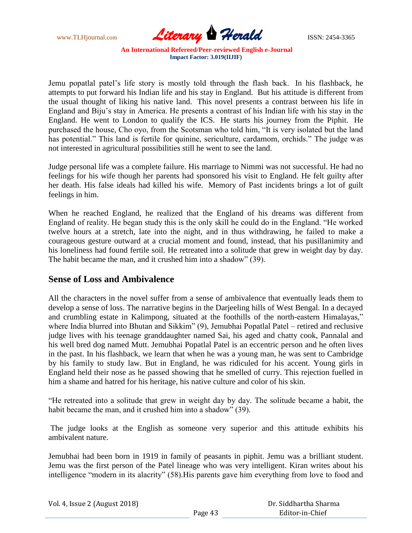www.TLHjournal.com **Literary Herald ISSN: 2454-3365** 

Jemu popatlal patel's life story is mostly told through the flash back. In his flashback, he attempts to put forward his Indian life and his stay in England. But his attitude is different from the usual thought of liking his native land. This novel presents a contrast between his life in England and Biju's stay in America. He presents a contrast of his Indian life with his stay in the England. He went to London to qualify the ICS. He starts his journey from the Piphit. He purchased the house, Cho oyo, from the Scotsman who told him, "It is very isolated but the land has potential." This land is fertile for quinine, sericulture, cardamom, orchids." The judge was not interested in agricultural possibilities still he went to see the land.

Judge personal life was a complete failure. His marriage to Nimmi was not successful. He had no feelings for his wife though her parents had sponsored his visit to England. He felt guilty after her death. His false ideals had killed his wife. Memory of Past incidents brings a lot of guilt feelings in him.

When he reached England, he realized that the England of his dreams was different from England of reality. He began study this is the only skill he could do in the England. "He worked twelve hours at a stretch, late into the night, and in thus withdrawing, he failed to make a courageous gesture outward at a crucial moment and found, instead, that his pusillanimity and his loneliness had found fertile soil. He retreated into a solitude that grew in weight day by day. The habit became the man, and it crushed him into a shadow" (39).

#### **Sense of Loss and Ambivalence**

All the characters in the novel suffer from a sense of ambivalence that eventually leads them to develop a sense of loss. The narrative begins in the Darjeeling hills of West Bengal. In a decayed and crumbling estate in Kalimpong, situated at the foothills of the north-eastern Himalayas," where India blurred into Bhutan and Sikkim" (9), Jemubhai Popatlal Patel – retired and reclusive judge lives with his teenage granddaughter named Sai, his aged and chatty cook, Pannalal and his well bred dog named Mutt. Jemubhai Popatlal Patel is an eccentric person and he often lives in the past. In his flashback, we learn that when he was a young man, he was sent to Cambridge by his family to study law. But in England, he was ridiculed for his accent. Young girls in England held their nose as he passed showing that he smelled of curry. This rejection fuelled in him a shame and hatred for his heritage, his native culture and color of his skin.

"He retreated into a solitude that grew in weight day by day. The solitude became a habit, the habit became the man, and it crushed him into a shadow" (39).

The judge looks at the English as someone very superior and this attitude exhibits his ambivalent nature.

Jemubhai had been born in 1919 in family of peasants in piphit. Jemu was a brilliant student. Jemu was the first person of the Patel lineage who was very intelligent. Kiran writes about his intelligence "modern in its alacrity" (58).His parents gave him everything from love to food and

| Vol. 4, Issue 2 (August 2018) |         | Dr. Siddhartha Sharma |
|-------------------------------|---------|-----------------------|
|                               | Page 43 | Editor-in-Chief       |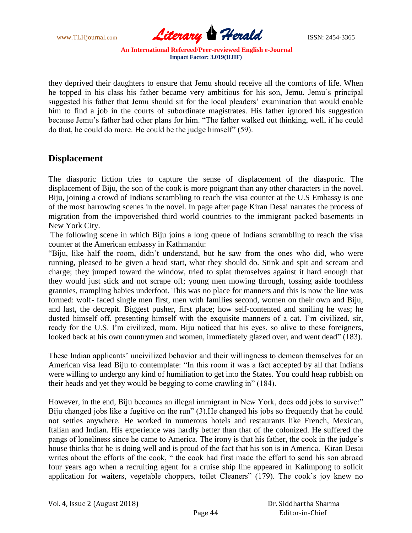

they deprived their daughters to ensure that Jemu should receive all the comforts of life. When he topped in his class his father became very ambitious for his son, Jemu. Jemu's principal suggested his father that Jemu should sit for the local pleaders' examination that would enable him to find a job in the courts of subordinate magistrates. His father ignored his suggestion because Jemu's father had other plans for him. "The father walked out thinking, well, if he could do that, he could do more. He could be the judge himself" (59).

### **Displacement**

The diasporic fiction tries to capture the sense of displacement of the diasporic. The displacement of Biju, the son of the cook is more poignant than any other characters in the novel. Biju, joining a crowd of Indians scrambling to reach the visa counter at the U.S Embassy is one of the most harrowing scenes in the novel. In page after page Kiran Desai narrates the process of migration from the impoverished third world countries to the immigrant packed basements in New York City.

The following scene in which Biju joins a long queue of Indians scrambling to reach the visa counter at the American embassy in Kathmandu:

"Biju, like half the room, didn't understand, but he saw from the ones who did, who were running, pleased to be given a head start, what they should do. Stink and spit and scream and charge; they jumped toward the window, tried to splat themselves against it hard enough that they would just stick and not scrape off; young men mowing through, tossing aside toothless grannies, trampling babies underfoot. This was no place for manners and this is now the line was formed: wolf- faced single men first, men with families second, women on their own and Biju, and last, the decrepit. Biggest pusher, first place; how self-contented and smiling he was; he dusted himself off, presenting himself with the exquisite manners of a cat. I'm civilized, sir, ready for the U.S. I'm civilized, mam. Biju noticed that his eyes, so alive to these foreigners, looked back at his own countrymen and women, immediately glazed over, and went dead" (183).

These Indian applicants' uncivilized behavior and their willingness to demean themselves for an American visa lead Biju to contemplate: "In this room it was a fact accepted by all that Indians were willing to undergo any kind of humiliation to get into the States. You could heap rubbish on their heads and yet they would be begging to come crawling in" (184).

However, in the end, Biju becomes an illegal immigrant in New York, does odd jobs to survive:" Biju changed jobs like a fugitive on the run" (3).He changed his jobs so frequently that he could not settles anywhere. He worked in numerous hotels and restaurants like French, Mexican, Italian and Indian. His experience was hardly better than that of the colonized. He suffered the pangs of loneliness since he came to America. The irony is that his father, the cook in the judge's house thinks that he is doing well and is proud of the fact that his son is in America. Kiran Desai writes about the efforts of the cook, " the cook had first made the effort to send his son abroad four years ago when a recruiting agent for a cruise ship line appeared in Kalimpong to solicit application for waiters, vegetable choppers, toilet Cleaners" (179). The cook's joy knew no

| Vol. 4, Issue 2 (August 2018) |  |
|-------------------------------|--|
|-------------------------------|--|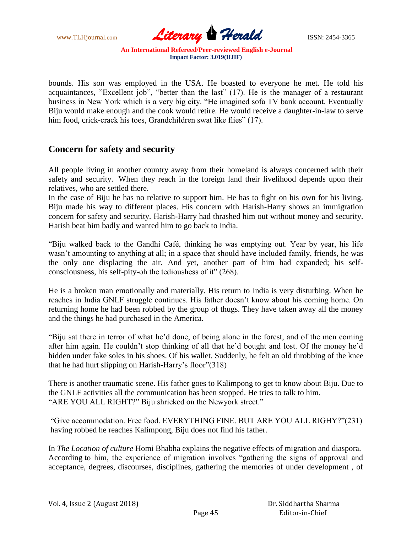

bounds. His son was employed in the USA. He boasted to everyone he met. He told his acquaintances, "Excellent job", "better than the last" (17). He is the manager of a restaurant business in New York which is a very big city. "He imagined sofa TV bank account. Eventually Biju would make enough and the cook would retire. He would receive a daughter-in-law to serve him food, crick-crack his toes, Grandchildren swat like flies" (17).

### **Concern for safety and security**

All people living in another country away from their homeland is always concerned with their safety and security. When they reach in the foreign land their livelihood depends upon their relatives, who are settled there.

In the case of Biju he has no relative to support him. He has to fight on his own for his living. Biju made his way to different places. His concern with Harish-Harry shows an immigration concern for safety and security. Harish-Harry had thrashed him out without money and security. Harish beat him badly and wanted him to go back to India.

"Biju walked back to the Gandhi Café, thinking he was emptying out. Year by year, his life wasn't amounting to anything at all; in a space that should have included family, friends, he was the only one displacing the air. And yet, another part of him had expanded; his selfconsciousness, his self-pity-oh the tedioushess of it" (268).

He is a broken man emotionally and materially. His return to India is very disturbing. When he reaches in India GNLF struggle continues. His father doesn't know about his coming home. On returning home he had been robbed by the group of thugs. They have taken away all the money and the things he had purchased in the America.

"Biju sat there in terror of what he'd done, of being alone in the forest, and of the men coming after him again. He couldn't stop thinking of all that he'd bought and lost. Of the money he'd hidden under fake soles in his shoes. Of his wallet. Suddenly, he felt an old throbbing of the knee that he had hurt slipping on Harish-Harry's floor"(318)

There is another traumatic scene. His father goes to Kalimpong to get to know about Biju. Due to the GNLF activities all the communication has been stopped. He tries to talk to him. "ARE YOU ALL RIGHT?" Biju shrieked on the Newyork street."

"Give accommodation. Free food. EVERYTHING FINE. BUT ARE YOU ALL RIGHY?"(231) having robbed he reaches Kalimpong, Biju does not find his father.

In *The Location of culture* Homi Bhabha explains the negative effects of migration and diaspora. According to him, the experience of migration involves "gathering the signs of approval and acceptance, degrees, discourses, disciplines, gathering the memories of under development , of

|  | Vol. 4, Issue 2 (August 2018) |
|--|-------------------------------|
|--|-------------------------------|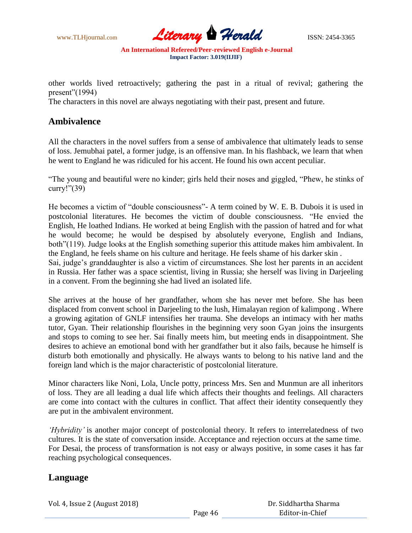

other worlds lived retroactively; gathering the past in a ritual of revival; gathering the present"(1994)

The characters in this novel are always negotiating with their past, present and future.

#### **Ambivalence**

All the characters in the novel suffers from a sense of ambivalence that ultimately leads to sense of loss. Jemubhai patel, a former judge, is an offensive man. In his flashback, we learn that when he went to England he was ridiculed for his accent. He found his own accent peculiar.

"The young and beautiful were no kinder; girls held their noses and giggled, "Phew, he stinks of curry!"(39)

He becomes a victim of "double consciousness"- A term coined by W. E. B. Dubois it is used in postcolonial literatures. He becomes the victim of double consciousness. "He envied the English, He loathed Indians. He worked at being English with the passion of hatred and for what he would become; he would be despised by absolutely everyone, English and Indians, both"(119). Judge looks at the English something superior this attitude makes him ambivalent. In the England, he feels shame on his culture and heritage. He feels shame of his darker skin .

Sai, judge's granddaughter is also a victim of circumstances. She lost her parents in an accident in Russia. Her father was a space scientist, living in Russia; she herself was living in Darjeeling in a convent. From the beginning she had lived an isolated life.

She arrives at the house of her grandfather, whom she has never met before. She has been displaced from convent school in Darjeeling to the lush, Himalayan region of kalimpong . Where a growing agitation of GNLF intensifies her trauma. She develops an intimacy with her maths tutor, Gyan. Their relationship flourishes in the beginning very soon Gyan joins the insurgents and stops to coming to see her. Sai finally meets him, but meeting ends in disappointment. She desires to achieve an emotional bond with her grandfather but it also fails, because he himself is disturb both emotionally and physically. He always wants to belong to his native land and the foreign land which is the major characteristic of postcolonial literature.

Minor characters like Noni, Lola, Uncle potty, princess Mrs. Sen and Munmun are all inheritors of loss. They are all leading a dual life which affects their thoughts and feelings. All characters are come into contact with the cultures in conflict. That affect their identity consequently they are put in the ambivalent environment.

*'Hybridity'* is another major concept of postcolonial theory. It refers to interrelatedness of two cultures. It is the state of conversation inside. Acceptance and rejection occurs at the same time. For Desai, the process of transformation is not easy or always positive, in some cases it has far reaching psychological consequences.

### **Language**

Vol. 4, Issue 2 (August 2018)